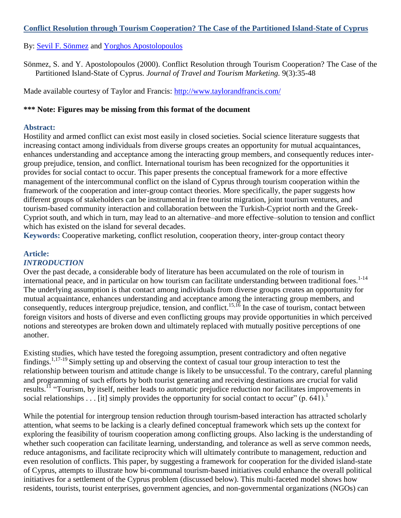### **Conflict Resolution through Tourism Cooperation? The Case of the Partitioned Island-State of Cyprus**

By: [Sevil F. Sönmez](http://libres.uncg.edu/ir/uncg/clist.aspx?id=3232) and [Yorghos Apostolopoulos](http://libres.uncg.edu/ir/uncg/clist.aspx?id=3233)

Sönmez, S. and Y. Apostolopoulos (2000). Conflict Resolution through Tourism Cooperation? The Case of the Partitioned Island-State of Cyprus. *Journal of Travel and Tourism Marketing.* 9(3):35-48

Made available courtesy of Taylor and Francis:<http://www.taylorandfrancis.com/>

### **\*\*\* Note: Figures may be missing from this format of the document**

### **Abstract:**

Hostility and armed conflict can exist most easily in closed societies. Social science literature suggests that increasing contact among individuals from diverse groups creates an opportunity for mutual acquaintances, enhances understanding and acceptance among the interacting group members, and consequently reduces intergroup prejudice, tension, and conflict. International tourism has been recognized for the opportunities it provides for social contact to occur. This paper presents the conceptual framework for a more effective management of the intercommunal conflict on the island of Cyprus through tourism cooperation within the framework of the cooperation and inter-group contact theories. More specifically, the paper suggests how different groups of stakeholders can be instrumental in free tourist migration, joint tourism ventures, and tourism-based community interaction and collaboration between the Turkish-Cypriot north and the Greek-Cypriot south, and which in turn, may lead to an alternative–and more effective–solution to tension and conflict which has existed on the island for several decades.

**Keywords:** Cooperative marketing, conflict resolution, cooperation theory, inter-group contact theory

### **Article:** *INTRODUCTION*

Over the past decade, a considerable body of literature has been accumulated on the role of tourism in international peace, and in particular on how tourism can facilitate understanding between traditional foes.<sup>1-14</sup> The underlying assumption is that contact among individuals from diverse groups creates an opportunity for mutual acquaintance, enhances understanding and acceptance among the interacting group members, and consequently, reduces intergroup prejudice, tension, and conflict.<sup>15,16</sup> In the case of tourism, contact between foreign visitors and hosts of diverse and even conflicting groups may provide opportunities in which perceived notions and stereotypes are broken down and ultimately replaced with mutually positive perceptions of one another.

Existing studies, which have tested the foregoing assumption, present contradictory and often negative findings.<sup>1,17-19</sup> Simply setting up and observing the context of casual tour group interaction to test the relationship between tourism and attitude change is likely to be unsuccessful. To the contrary, careful planning and programming of such efforts by both tourist generating and receiving destinations are crucial for valid results.<sup>11</sup> "Tourism, by itself, neither leads to automatic prejudice reduction nor facilitates improvements in social relationships  $\dots$  [it] simply provides the opportunity for social contact to occur" (p. 641).<sup>1</sup>

While the potential for intergroup tension reduction through tourism-based interaction has attracted scholarly attention, what seems to be lacking is a clearly defined conceptual framework which sets up the context for exploring the feasibility of tourism cooperation among conflicting groups. Also lacking is the understanding of whether such cooperation can facilitate learning, understanding, and tolerance as well as serve common needs, reduce antagonisms, and facilitate reciprocity which will ultimately contribute to management, reduction and even resolution of conflicts. This paper, by suggesting a framework for cooperation for the divided island-state of Cyprus, attempts to illustrate how bi-communal tourism-based initiatives could enhance the overall political initiatives for a settlement of the Cyprus problem (discussed below). This multi-faceted model shows how residents, tourists, tourist enterprises, government agencies, and non-governmental organizations (NGOs) can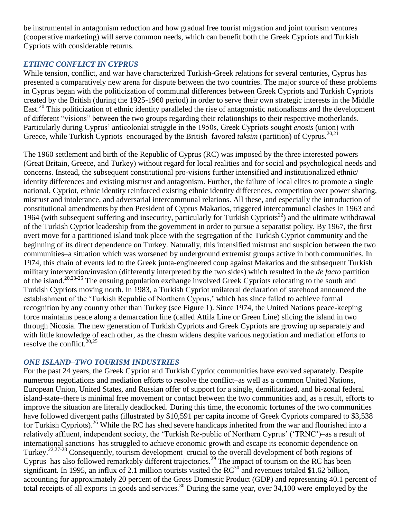be instrumental in antagonism reduction and how gradual free tourist migration and joint tourism ventures (cooperative marketing) will serve common needs, which can benefit both the Greek Cypriots and Turkish Cypriots with considerable returns.

# *ETHNIC CONFLICT IN CYPRUS*

While tension, conflict, and war have characterized Turkish-Greek relations for several centuries, Cyprus has presented a comparatively new arena for dispute between the two countries. The major source of these problems in Cyprus began with the politicization of communal differences between Greek Cypriots and Turkish Cypriots created by the British (during the 1925-1960 period) in order to serve their own strategic interests in the Middle East.<sup>20</sup> This politicization of ethnic identity paralleled the rise of antagonistic nationalisms and the development of different "visions" between the two groups regarding their relationships to their respective motherlands. Particularly during Cyprus" anticolonial struggle in the 1950s, Greek Cypriots sought *enosis* (union) with Greece, while Turkish Cypriots–encouraged by the British–favored *taksim* (partition) of Cyprus.<sup>20,21</sup>

The 1960 settlement and birth of the Republic of Cyprus (RC) was imposed by the three interested powers (Great Britain, Greece, and Turkey) without regard for local realities and for social and psychological needs and concerns. Instead, the subsequent constitutional pro-visions further intensified and institutionalized ethnic/ identity differences and existing mistrust and antagonism. Further, the failure of local elites to promote a single national, Cypriot, ethnic identity reinforced existing ethnic identity differences, competition over power sharing, mistrust and intolerance, and adversarial intercommunal relations. All these, and especially the introduction of constitutional amendments by then President of Cyprus Makarios, triggered intercommunal clashes in 1963 and 1964 (with subsequent suffering and insecurity, particularly for Turkish Cypriots<sup>22</sup>) and the ultimate withdrawal of the Turkish Cypriot leadership from the government in order to pursue a separatist policy. By 1967, the first overt move for a partitioned island took place with the segregation of the Turkish Cypriot community and the beginning of its direct dependence on Turkey. Naturally, this intensified mistrust and suspicion between the two communities–a situation which was worsened by underground extremist groups active in both communities. In 1974, this chain of events led to the Greek junta-engineered coup against Makarios and the subsequent Turkish military intervention/invasion (differently interpreted by the two sides) which resulted in the *de facto* partition of the island.<sup>20,23-25</sup> The ensuing population exchange involved Greek Cypriots relocating to the south and Turkish Cypriots moving north. In 1983, a Turkish Cypriot unilateral declaration of statehood announced the establishment of the 'Turkish Republic of Northern Cyprus,' which has since failed to achieve formal recognition by any country other than Turkey (see Figure 1). Since 1974, the United Nations peace-keeping force maintains peace along a demarcation line (called Attila Line or Green Line) slicing the island in two through Nicosia. The new generation of Turkish Cypriots and Greek Cypriots are growing up separately and with little knowledge of each other, as the chasm widens despite various negotiation and mediation efforts to resolve the conflict.<sup>20,25</sup>

### *ONE ISLAND–TWO TOURISM INDUSTRIES*

For the past 24 years, the Greek Cypriot and Turkish Cypriot communities have evolved separately. Despite numerous negotiations and mediation efforts to resolve the conflict–as well as a common United Nations, European Union, United States, and Russian offer of support for a single, demilitarized, and bi-zonal federal island-state–there is minimal free movement or contact between the two communities and, as a result, efforts to improve the situation are literally deadlocked. During this time, the economic fortunes of the two communities have followed divergent paths (illustrated by \$10,591 per capita income of Greek Cypriots compared to \$3,538 for Turkish Cypriots).<sup>26</sup> While the RC has shed severe handicaps inherited from the war and flourished into a relatively affluent, independent society, the "Turkish Re-public of Northern Cyprus" ("TRNC")–as a result of international sanctions–has struggled to achieve economic growth and escape its economic dependence on Turkey.22,27-28 Consequently, tourism development–crucial to the overall development of both regions of Cyprus–has also followed remarkably different trajectories.<sup>29</sup> The impact of tourism on the RC has been significant. In 1995, an influx of 2.1 million tourists visited the  $RC^{30}$  and revenues totaled \$1.62 billion, accounting for approximately 20 percent of the Gross Domestic Product (GDP) and representing 40.1 percent of total receipts of all exports in goods and services.<sup>30</sup> During the same year, over  $34,100$  were employed by the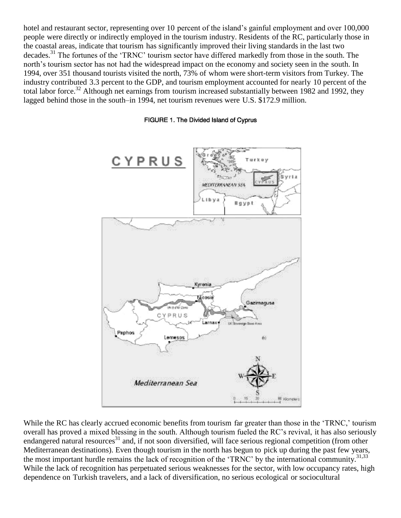hotel and restaurant sector, representing over 10 percent of the island's gainful employment and over 100,000 people were directly or indirectly employed in the tourism industry. Residents of the RC, particularly those in the coastal areas, indicate that tourism has significantly improved their living standards in the last two decades.<sup>31</sup> The fortunes of the 'TRNC' tourism sector have differed markedly from those in the south. The north's tourism sector has not had the widespread impact on the economy and society seen in the south. In 1994, over 351 thousand tourists visited the north, 73% of whom were short-term visitors from Turkey. The industry contributed 3.3 percent to the GDP, and tourism employment accounted for nearly 10 percent of the total labor force.<sup>32</sup> Although net earnings from tourism increased substantially between 1982 and 1992, they lagged behind those in the south–in 1994, net tourism revenues were U.S. \$172.9 million.

#### FIGURE 1. The Divided Island of Cvprus



While the RC has clearly accrued economic benefits from tourism far greater than those in the 'TRNC,' tourism overall has proved a mixed blessing in the south. Although tourism fueled the RC"s revival, it has also seriously endangered natural resources<sup>31</sup> and, if not soon diversified, will face serious regional competition (from other Mediterranean destinations). Even though tourism in the north has begun to pick up during the past few years, the most important hurdle remains the lack of recognition of the 'TRNC' by the international community.<sup>31,33</sup> While the lack of recognition has perpetuated serious weaknesses for the sector, with low occupancy rates, high dependence on Turkish travelers, and a lack of diversification, no serious ecological or sociocultural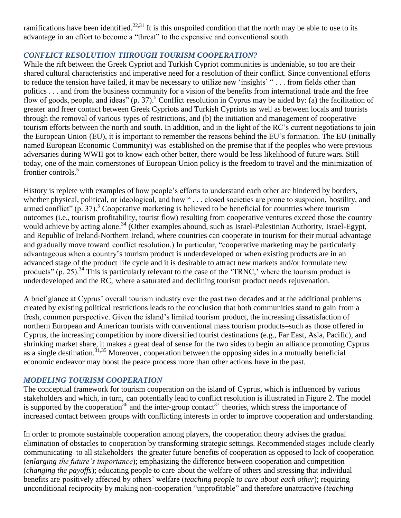ramifications have been identified.<sup>22,31</sup> It is this unspoiled condition that the north may be able to use to its advantage in an effort to become a "threat" to the expensive and conventional south.

## *CONFLICT RESOLUTION THROUGH TOURISM COOPERATION?*

While the rift between the Greek Cypriot and Turkish Cypriot communities is undeniable, so too are their shared cultural characteristics and imperative need for a resolution of their conflict. Since conventional efforts to reduce the tension have failed, it may be necessary to utilize new "insights" " . . . from fields other than politics . . . and from the business community for a vision of the benefits from international trade and the free flow of goods, people, and ideas" (p. 37).<sup>5</sup> Conflict resolution in Cyprus may be aided by: (a) the facilitation of greater and freer contact between Greek Cypriots and Turkish Cypriots as well as between locals and tourists through the removal of various types of restrictions, and (b) the initiation and management of cooperative tourism efforts between the north and south. In addition, and in the light of the RC"s current negotiations to join the European Union (EU), it is important to remember the reasons behind the EU"s formation. The EU (initially named European Economic Community) was established on the premise that if the peoples who were previous adversaries during WWII got to know each other better, there would be less likelihood of future wars. Still today, one of the main cornerstones of European Union policy is the freedom to travel and the minimization of frontier controls.<sup>5</sup>

History is replete with examples of how people's efforts to understand each other are hindered by borders, whether physical, political, or ideological, and how " . . . closed societies are prone to suspicion, hostility, and armed conflict" (p. 37).<sup>5</sup> Cooperative marketing is believed to be beneficial for countries where tourism outcomes (i.e., tourism profitability, tourist flow) resulting from cooperative ventures exceed those the country would achieve by acting alone.<sup>34</sup> (Other examples abound, such as Israel-Palestinian Authority, Israel-Egypt, and Republic of Ireland-Northern Ireland, where countries can cooperate in tourism for their mutual advantage and gradually move toward conflict resolution.) In particular, "cooperative marketing may be particularly advantageous when a country"s tourism product is underdeveloped or when existing products are in an advanced stage of the product life cycle and it is desirable to attract new markets and/or formulate new products" (p. 25).<sup>34</sup> This is particularly relevant to the case of the 'TRNC,' where the tourism product is underdeveloped and the RC, where a saturated and declining tourism product needs rejuvenation.

A brief glance at Cyprus' overall tourism industry over the past two decades and at the additional problems created by existing political restrictions leads to the conclusion that both communities stand to gain from a fresh, common perspective. Given the island"s limited tourism product, the increasing dissatisfaction of northern European and American tourists with conventional mass tourism products–such as those offered in Cyprus, the increasing competition by more diversified tourist destinations (e.g., Far East, Asia, Pacific), and shrinking market share, it makes a great deal of sense for the two sides to begin an alliance promoting Cyprus as a single destination.31,35 Moreover, cooperation between the opposing sides in a mutually beneficial economic endeavor may boost the peace process more than other actions have in the past.

### *MODELING TOURISM COOPERATION*

The conceptual framework for tourism cooperation on the island of Cyprus, which is influenced by various stakeholders and which, in turn, can potentially lead to conflict resolution is illustrated in Figure 2. The model is supported by the cooperation<sup>36</sup> and the inter-group contact<sup>37</sup> theories, which stress the importance of increased contact between groups with conflicting interests in order to improve cooperation and understanding.

In order to promote sustainable cooperation among players, the cooperation theory advises the gradual elimination of obstacles to cooperation by transforming strategic settings. Recommended stages include clearly communicating–to all stakeholders–the greater future benefits of cooperation as opposed to lack of cooperation (*enlarging the future's importance*); emphasizing the difference between cooperation and competition (*changing the payoffs*); educating people to care about the welfare of others and stressing that individual benefits are positively affected by others" welfare (*teaching people to care about each other*); requiring unconditional reciprocity by making non-cooperation "unprofitable" and therefore unattractive (*teaching*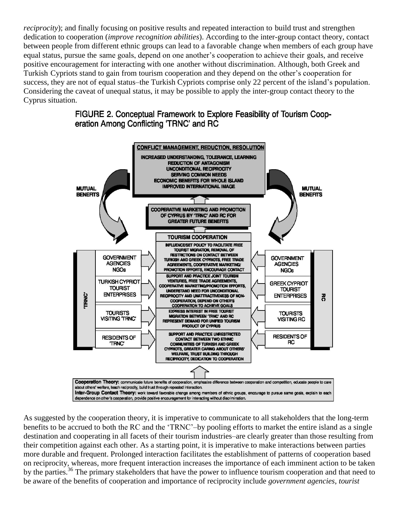*reciprocity*); and finally focusing on positive results and repeated interaction to build trust and strengthen dedication to cooperation (*improve recognition abilities*). According to the inter-group contact theory, contact between people from different ethnic groups can lead to a favorable change when members of each group have equal status, pursue the same goals, depend on one another"s cooperation to achieve their goals, and receive positive encouragement for interacting with one another without discrimination. Although, both Greek and Turkish Cypriots stand to gain from tourism cooperation and they depend on the other"s cooperation for success, they are not of equal status–the Turkish Cypriots comprise only 22 percent of the island"s population. Considering the caveat of unequal status, it may be possible to apply the inter-group contact theory to the Cyprus situation.

# FIGURE 2. Conceptual Framework to Explore Feasibility of Tourism Cooperation Among Conflicting 'TRNC' and RC



As suggested by the cooperation theory, it is imperative to communicate to all stakeholders that the long-term benefits to be accrued to both the RC and the "TRNC"–by pooling efforts to market the entire island as a single destination and cooperating in all facets of their tourism industries–are clearly greater than those resulting from their competition against each other. As a starting point, it is imperative to make interactions between parties more durable and frequent. Prolonged interaction facilitates the establishment of patterns of cooperation based on reciprocity, whereas, more frequent interaction increases the importance of each imminent action to be taken by the parties.<sup>36</sup> The primary stakeholders that have the power to influence tourism cooperation and that need to be aware of the benefits of cooperation and importance of reciprocity include *government agencies*, *tourist*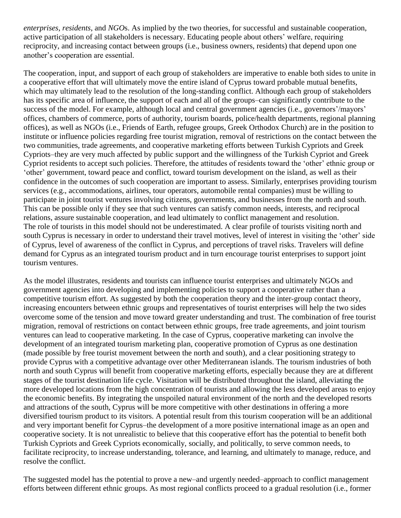*enterprises, residents*, and *NGO*s. As implied by the two theories, for successful and sustainable cooperation, active participation of all stakeholders is necessary. Educating people about others" welfare, requiring reciprocity, and increasing contact between groups (i.e., business owners, residents) that depend upon one another"s cooperation are essential.

The cooperation, input, and support of each group of stakeholders are imperative to enable both sides to unite in a cooperative effort that will ultimately move the entire island of Cyprus toward probable mutual benefits, which may ultimately lead to the resolution of the long-standing conflict. Although each group of stakeholders has its specific area of influence, the support of each and all of the groups–can significantly contribute to the success of the model. For example, although local and central government agencies (i.e., governors'/mayors' offices, chambers of commerce, ports of authority, tourism boards, police/health departments, regional planning offices), as well as NGOs (i.e., Friends of Earth, refugee groups, Greek Orthodox Church) are in the position to institute or influence policies regarding free tourist migration, removal of restrictions on the contact between the two communities, trade agreements, and cooperative marketing efforts between Turkish Cypriots and Greek Cypriots–they are very much affected by public support and the willingness of the Turkish Cypriot and Greek Cypriot residents to accept such policies. Therefore, the attitudes of residents toward the "other" ethnic group or "other" government, toward peace and conflict, toward tourism development on the island, as well as their confidence in the outcomes of such cooperation are important to assess. Similarly, enterprises providing tourism services (e.g., accommodations, airlines, tour operators, automobile rental companies) must be willing to participate in joint tourist ventures involving citizens, governments, and businesses from the north and south. This can be possible only if they see that such ventures can satisfy common needs, interests, and reciprocal relations, assure sustainable cooperation, and lead ultimately to conflict management and resolution. The role of tourists in this model should not be underestimated. A clear profile of tourists visiting north and south Cyprus is necessary in order to understand their travel motives, level of interest in visiting the 'other' side of Cyprus, level of awareness of the conflict in Cyprus, and perceptions of travel risks. Travelers will define demand for Cyprus as an integrated tourism product and in turn encourage tourist enterprises to support joint tourism ventures.

As the model illustrates, residents and tourists can influence tourist enterprises and ultimately NGOs and government agencies into developing and implementing policies to support a cooperative rather than a competitive tourism effort. As suggested by both the cooperation theory and the inter-group contact theory, increasing encounters between ethnic groups and representatives of tourist enterprises will help the two sides overcome some of the tension and move toward greater understanding and trust. The combination of free tourist migration, removal of restrictions on contact between ethnic groups, free trade agreements, and joint tourism ventures can lead to cooperative marketing. In the case of Cyprus, cooperative marketing can involve the development of an integrated tourism marketing plan, cooperative promotion of Cyprus as one destination (made possible by free tourist movement between the north and south), and a clear positioning strategy to provide Cyprus with a competitive advantage over other Mediterranean islands. The tourism industries of both north and south Cyprus will benefit from cooperative marketing efforts, especially because they are at different stages of the tourist destination life cycle. Visitation will be distributed throughout the island, alleviating the more developed locations from the high concentration of tourists and allowing the less developed areas to enjoy the economic benefits. By integrating the unspoiled natural environment of the north and the developed resorts and attractions of the south, Cyprus will be more competitive with other destinations in offering a more diversified tourism product to its visitors. A potential result from this tourism cooperation will be an additional and very important benefit for Cyprus–the development of a more positive international image as an open and cooperative society. It is not unrealistic to believe that this cooperative effort has the potential to benefit both Turkish Cypriots and Greek Cypriots economically, socially, and politically, to serve common needs, to facilitate reciprocity, to increase understanding, tolerance, and learning, and ultimately to manage, reduce, and resolve the conflict.

The suggested model has the potential to prove a new–and urgently needed–approach to conflict management efforts between different ethnic groups. As most regional conflicts proceed to a gradual resolution (i.e., former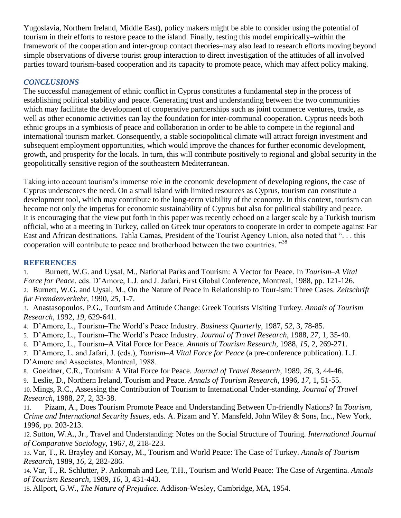Yugoslavia, Northern Ireland, Middle East), policy makers might be able to consider using the potential of tourism in their efforts to restore peace to the island. Finally, testing this model empirically–within the framework of the cooperation and inter-group contact theories–may also lead to research efforts moving beyond simple observations of diverse tourist group interaction to direct investigation of the attitudes of all involved parties toward tourism-based cooperation and its capacity to promote peace, which may affect policy making.

# *CONCLUSIONS*

The successful management of ethnic conflict in Cyprus constitutes a fundamental step in the process of establishing political stability and peace. Generating trust and understanding between the two communities which may facilitate the development of cooperative partnerships such as joint commerce ventures, trade, as well as other economic activities can lay the foundation for inter-communal cooperation. Cyprus needs both ethnic groups in a symbiosis of peace and collaboration in order to be able to compete in the regional and international tourism market. Consequently, a stable sociopolitical climate will attract foreign investment and subsequent employment opportunities, which would improve the chances for further economic development, growth, and prosperity for the locals. In turn, this will contribute positively to regional and global security in the geopolitically sensitive region of the southeastern Mediterranean.

Taking into account tourism"s immense role in the economic development of developing regions, the case of Cyprus underscores the need. On a small island with limited resources as Cyprus, tourism can constitute a development tool, which may contribute to the long-term viability of the economy. In this context, tourism can become not only the impetus for economic sustainability of Cyprus but also for political stability and peace. It is encouraging that the view put forth in this paper was recently echoed on a larger scale by a Turkish tourism official, who at a meeting in Turkey, called on Greek tour operators to cooperate in order to compete against Far East and African destinations. Tahla Camas, President of the Tourist Agency Union, also noted that ". . . this cooperation will contribute to peace and brotherhood between the two countries. "<sup>38</sup>

## **REFERENCES**

1. Burnett, W.G. and Uysal, M., National Parks and Tourism: A Vector for Peace. In *Tourism–A Vital Force for Peace*, eds. D"Amore, L.J. and J. Jafari, First Global Conference, Montreal, 1988, pp. 121-126. 2. Burnett, W.G. and Uysal, M., On the Nature of Peace in Relationship to Tour-ism: Three Cases. *Zeitschrift fur Fremdenverkehr*, 1990, *25*, 1-7.

3. Anastasopoulos, P.G., Tourism and Attitude Change: Greek Tourists Visiting Turkey. *Annals of Tourism Research*, 1992, *19*, 629-641.

- 4. D"Amore, L., Tourism–The World"s Peace Industry. *Business Quarterly*, 1987, *52*, 3, 78-85.
- 5. D"Amore, L., Tourism–The World"s Peace Industry. *Journal of Travel Research*, 1988, *27*, 1, 35-40.
- 6. D"Amore, L., Tourism–A Vital Force for Peace. *Annals of Tourism Research*, 1988, *15*, 2, 269-271.
- 7. D"Amore, L. and Jafari, J. (eds.), *Tourism–A Vital Force for Peace* (a pre-conference publication). L.J. D"Amore and Associates, Montreal, 1988.
- 8. Goeldner, C.R., Tourism: A Vital Force for Peace. *Journal of Travel Research*, 1989, *26*, 3, 44-46.
- 9. Leslie, D., Northern Ireland, Tourism and Peace. *Annals of Tourism Research*, 1996, *17*, 1, 51-55.
- 10. Mings, R.C., Assessing the Contribution of Tourism to International Under-standing. *Journal of Travel Research*, 1988, *27*, 2, 33-38.
- 11. Pizam, A., Does Tourism Promote Peace and Understanding Between Un-friendly Nations? In *Tourism*, *Crime and International Security Issues*, eds. A. Pizam and Y. Mansfeld, John Wiley & Sons, Inc., New York, 1996, pp. 203-213.
- 12. Sutton, W.A., Jr., Travel and Understanding: Notes on the Social Structure of Touring. *International Journal of Comparative Sociology*, 1967, *8*, 218-223.
- 13. Var, T., R. Brayley and Korsay, M., Tourism and World Peace: The Case of Turkey. *Annals of Tourism Research*, 1989, *16*, 2, 282-286.
- 14. Var, T., R. Schlutter, P. Ankomah and Lee, T.H., Tourism and World Peace: The Case of Argentina. *Annals of Tourism Research*, 1989, *16*, 3, 431-443.
- 15. Allport, G.W., *The Nature of Prejudice*. Addison-Wesley, Cambridge, MA, 1954.